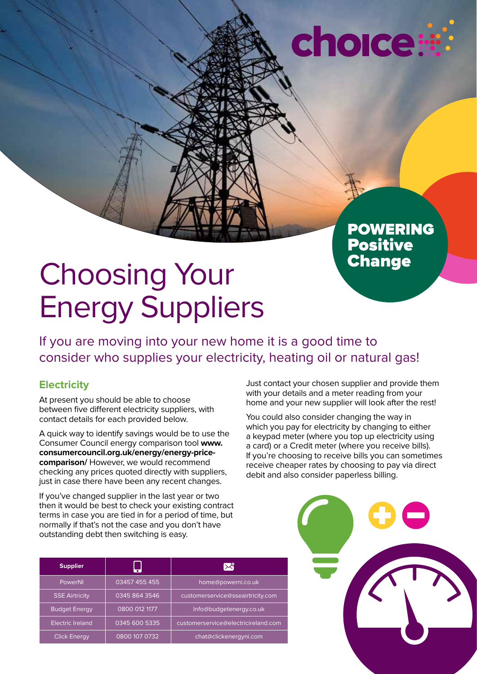# choice:

**POWERING<br>Positive<br>Change** 

# Choosing Your Energy Suppliers

If you are moving into your new home it is a good time to consider who supplies your electricity, heating oil or natural gas!

### **Electricity**

At present you should be able to choose between five different electricity suppliers, with contact details for each provided below.

A quick way to identify savings would be to use the Consumer Council energy comparison tool **www. consumercouncil.org.uk/energy/energy-pricecomparison/** However, we would recommend checking any prices quoted directly with suppliers, just in case there have been any recent changes.

If you've changed supplier in the last year or two then it would be best to check your existing contract terms in case you are tied in for a period of time, but normally if that's not the case and you don't have outstanding debt then switching is easy.

Just contact your chosen supplier and provide them with your details and a meter reading from your home and your new supplier will look after the rest!

You could also consider changing the way in which you pay for electricity by changing to either a keypad meter (where you top up electricity using a card) or a Credit meter (where you receive bills). If you're choosing to receive bills you can sometimes receive cheaper rates by choosing to pay via direct debit and also consider paperless billing.

| <b>Supplier</b>         |               | ኢዛ                                  |
|-------------------------|---------------|-------------------------------------|
| <b>PowerNI</b>          | 03457 455 455 | home@powerni.co.uk                  |
| <b>SSE Airtricity</b>   | 0345 864 3546 | customerservice@sseairtricity.com   |
| <b>Budget Energy</b>    | 0800 012 1177 | Info@budgetenergy.co.uk             |
| <b>Electric Ireland</b> | 0345 600 5335 | customerservice@electricireland.com |
| <b>Click Energy</b>     | 0800 107 0732 | chat@clickenergyni.com              |